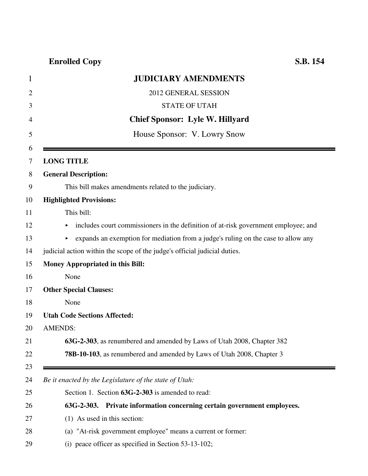# **Enrolled Copy S.B. 154**

| <b>JUDICIARY AMENDMENTS</b>                                                             |
|-----------------------------------------------------------------------------------------|
| 2012 GENERAL SESSION                                                                    |
| <b>STATE OF UTAH</b>                                                                    |
| <b>Chief Sponsor: Lyle W. Hillyard</b>                                                  |
| House Sponsor: V. Lowry Snow                                                            |
| <b>LONG TITLE</b>                                                                       |
| <b>General Description:</b>                                                             |
| This bill makes amendments related to the judiciary.                                    |
| <b>Highlighted Provisions:</b>                                                          |
| This bill:                                                                              |
| includes court commissioners in the definition of at-risk government employee; and<br>► |
| expands an exemption for mediation from a judge's ruling on the case to allow any       |
| judicial action within the scope of the judge's official judicial duties.               |
| <b>Money Appropriated in this Bill:</b>                                                 |
| None                                                                                    |
| <b>Other Special Clauses:</b>                                                           |
| None                                                                                    |
| <b>Utah Code Sections Affected:</b>                                                     |
| <b>AMENDS:</b>                                                                          |
| 63G-2-303, as renumbered and amended by Laws of Utah 2008, Chapter 382                  |
| 78B-10-103, as renumbered and amended by Laws of Utah 2008, Chapter 3                   |
| Be it enacted by the Legislature of the state of Utah:                                  |
| Section 1. Section 63G-2-303 is amended to read:                                        |
| Private information concerning certain government employees.<br>$63G-2-303.$            |
| (1) As used in this section:                                                            |
| (a) "At-risk government employee" means a current or former:                            |
| (i) peace officer as specified in Section $53-13-102$ ;                                 |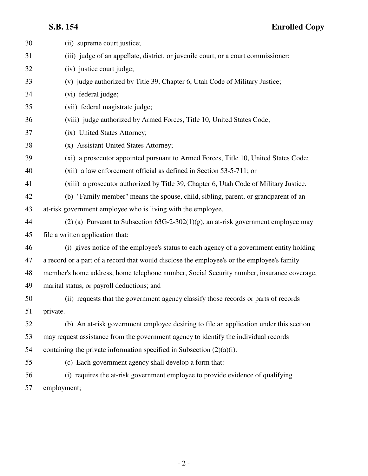| 30 | (ii) supreme court justice;                                                                |
|----|--------------------------------------------------------------------------------------------|
| 31 | (iii) judge of an appellate, district, or juvenile court, or a court commissioner;         |
| 32 | (iv) justice court judge;                                                                  |
| 33 | (v) judge authorized by Title 39, Chapter 6, Utah Code of Military Justice;                |
| 34 | (vi) federal judge;                                                                        |
| 35 | (vii) federal magistrate judge;                                                            |
| 36 | (viii) judge authorized by Armed Forces, Title 10, United States Code;                     |
| 37 | (ix) United States Attorney;                                                               |
| 38 | (x) Assistant United States Attorney;                                                      |
| 39 | (xi) a prosecutor appointed pursuant to Armed Forces, Title 10, United States Code;        |
| 40 | (xii) a law enforcement official as defined in Section 53-5-711; or                        |
| 41 | (xiii) a prosecutor authorized by Title 39, Chapter 6, Utah Code of Military Justice.      |
| 42 | (b) "Family member" means the spouse, child, sibling, parent, or grandparent of an         |
| 43 | at-risk government employee who is living with the employee.                               |
| 44 | (2) (a) Pursuant to Subsection $63G-2-302(1)(g)$ , an at-risk government employee may      |
| 45 | file a written application that:                                                           |
| 46 | (i) gives notice of the employee's status to each agency of a government entity holding    |
| 47 | a record or a part of a record that would disclose the employee's or the employee's family |
| 48 | member's home address, home telephone number, Social Security number, insurance coverage,  |
| 49 | marital status, or payroll deductions; and                                                 |
| 50 | (ii) requests that the government agency classify those records or parts of records        |
| 51 | private.                                                                                   |
| 52 | (b) An at-risk government employee desiring to file an application under this section      |
| 53 | may request assistance from the government agency to identify the individual records       |
| 54 | containing the private information specified in Subsection $(2)(a)(i)$ .                   |
| 55 | (c) Each government agency shall develop a form that:                                      |
| 56 | (i) requires the at-risk government employee to provide evidence of qualifying             |
| 57 | employment;                                                                                |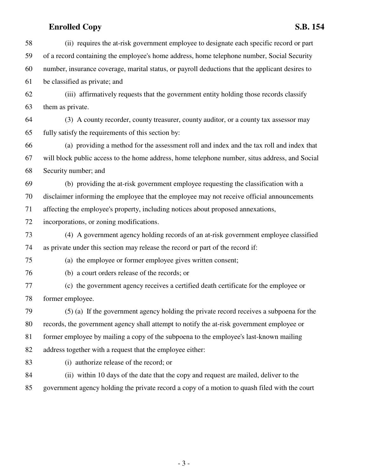## **Enrolled Copy S.B. 154**

58 (ii) requires the at-risk government employee to designate each specific record or part 59 of a record containing the employee's home address, home telephone number, Social Security 60 number, insurance coverage, marital status, or payroll deductions that the applicant desires to 61 be classified as private; and 62 (iii) affirmatively requests that the government entity holding those records classify 63 them as private. 64 (3) A county recorder, county treasurer, county auditor, or a county tax assessor may 65 fully satisfy the requirements of this section by: 66 (a) providing a method for the assessment roll and index and the tax roll and index that 67 will block public access to the home address, home telephone number, situs address, and Social 68 Security number; and 69 (b) providing the at-risk government employee requesting the classification with a 70 disclaimer informing the employee that the employee may not receive official announcements 71 affecting the employee's property, including notices about proposed annexations, 72 incorporations, or zoning modifications. 73 (4) A government agency holding records of an at-risk government employee classified 74 as private under this section may release the record or part of the record if: 75 (a) the employee or former employee gives written consent; 76 (b) a court orders release of the records; or 77 (c) the government agency receives a certified death certificate for the employee or 78 former employee. 79 (5) (a) If the government agency holding the private record receives a subpoena for the 80 records, the government agency shall attempt to notify the at-risk government employee or 81 former employee by mailing a copy of the subpoena to the employee's last-known mailing 82 address together with a request that the employee either: 83 (i) authorize release of the record; or 84 (ii) within 10 days of the date that the copy and request are mailed, deliver to the 85 government agency holding the private record a copy of a motion to quash filed with the court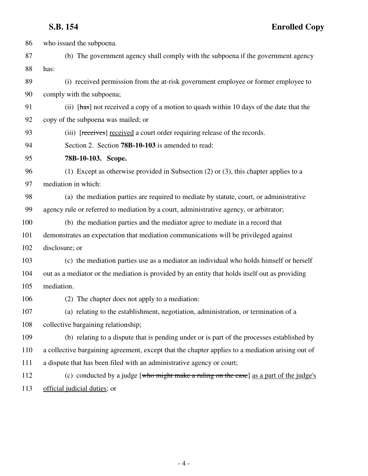| 86  | who issued the subpoena.                                                                         |
|-----|--------------------------------------------------------------------------------------------------|
| 87  | (b) The government agency shall comply with the subpoena if the government agency                |
| 88  | has:                                                                                             |
| 89  | (i) received permission from the at-risk government employee or former employee to               |
| 90  | comply with the subpoena;                                                                        |
| 91  | (ii) [has] not received a copy of a motion to quash within 10 days of the date that the          |
| 92  | copy of the subpoena was mailed; or                                                              |
| 93  | (iii) [receives] received a court order requiring release of the records.                        |
| 94  | Section 2. Section <b>78B-10-103</b> is amended to read:                                         |
| 95  | 78B-10-103. Scope.                                                                               |
| 96  | (1) Except as otherwise provided in Subsection (2) or (3), this chapter applies to a             |
| 97  | mediation in which:                                                                              |
| 98  | (a) the mediation parties are required to mediate by statute, court, or administrative           |
| 99  | agency rule or referred to mediation by a court, administrative agency, or arbitrator;           |
| 100 | (b) the mediation parties and the mediator agree to mediate in a record that                     |
| 101 | demonstrates an expectation that mediation communications will be privileged against             |
| 102 | disclosure; or                                                                                   |
| 103 | (c) the mediation parties use as a mediator an individual who holds himself or herself           |
| 104 | out as a mediator or the mediation is provided by an entity that holds itself out as providing   |
| 105 | mediation.                                                                                       |
| 106 | (2) The chapter does not apply to a mediation:                                                   |
| 107 | (a) relating to the establishment, negotiation, administration, or termination of a              |
| 108 | collective bargaining relationship;                                                              |
| 109 | (b) relating to a dispute that is pending under or is part of the processes established by       |
| 110 | a collective bargaining agreement, except that the chapter applies to a mediation arising out of |
| 111 | a dispute that has been filed with an administrative agency or court;                            |
| 112 | (c) conducted by a judge [who might make a ruling on the case] as a part of the judge's          |
| 113 | official judicial duties; or                                                                     |